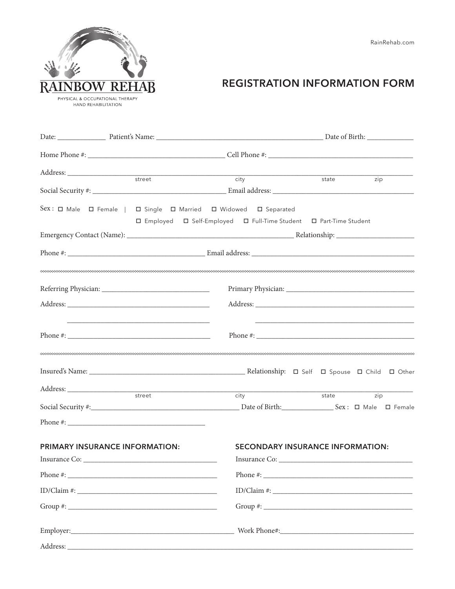

## **REGISTRATION INFORMATION FORM**

|                                       |  |                                                                                                                                                                     | state | zip                                |  |
|---------------------------------------|--|---------------------------------------------------------------------------------------------------------------------------------------------------------------------|-------|------------------------------------|--|
|                                       |  |                                                                                                                                                                     |       |                                    |  |
|                                       |  | Sex: $\Box$ Male $\Box$ Female   $\Box$ Single $\Box$ Married $\Box$ Widowed $\Box$ Separated<br>□ Employed □ Self-Employed □ Full-Time Student □ Part-Time Student |       |                                    |  |
|                                       |  |                                                                                                                                                                     |       |                                    |  |
|                                       |  |                                                                                                                                                                     |       |                                    |  |
|                                       |  |                                                                                                                                                                     |       |                                    |  |
|                                       |  |                                                                                                                                                                     |       |                                    |  |
|                                       |  |                                                                                                                                                                     |       |                                    |  |
|                                       |  |                                                                                                                                                                     |       |                                    |  |
|                                       |  | city                                                                                                                                                                | state | zip                                |  |
|                                       |  |                                                                                                                                                                     |       |                                    |  |
|                                       |  |                                                                                                                                                                     |       |                                    |  |
| <b>PRIMARY INSURANCE INFORMATION:</b> |  | <b>SECONDARY INSURANCE INFORMATION:</b>                                                                                                                             |       |                                    |  |
|                                       |  |                                                                                                                                                                     |       |                                    |  |
|                                       |  |                                                                                                                                                                     |       | $ID/Clain$ #: $\_\_\_\_\_\_\_\_\_$ |  |
|                                       |  |                                                                                                                                                                     |       |                                    |  |
|                                       |  |                                                                                                                                                                     |       |                                    |  |
|                                       |  |                                                                                                                                                                     |       |                                    |  |